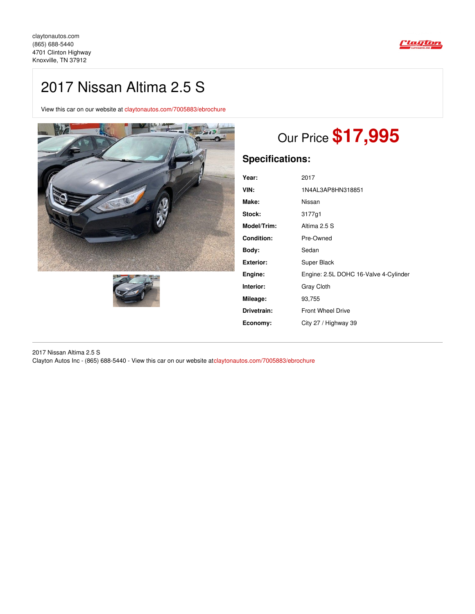

## 2017 Nissan Altima 2.5 S

View this car on our website at [claytonautos.com/7005883/ebrochure](https://claytonautos.com/vehicle/7005883/2017-nissan-altima-2-5-s-knoxville-tn-37912/7005883/ebrochure)





# Our Price **\$17,995**

## **Specifications:**

| Year:             | 2017                                  |
|-------------------|---------------------------------------|
| VIN:              | 1N4AL3AP8HN318851                     |
| Make:             | Nissan                                |
| Stock:            | 3177q1                                |
| Model/Trim:       | Altima 2.5 S                          |
| <b>Condition:</b> | Pre-Owned                             |
| Body:             | Sedan                                 |
| <b>Exterior:</b>  | Super Black                           |
| Engine:           | Engine: 2.5L DOHC 16-Valve 4-Cylinder |
| Interior:         | Gray Cloth                            |
| Mileage:          | 93,755                                |
| Drivetrain:       | <b>Front Wheel Drive</b>              |
| Economy:          | City 27 / Highway 39                  |

2017 Nissan Altima 2.5 S Clayton Autos Inc - (865) 688-5440 - View this car on our website at[claytonautos.com/7005883/ebrochure](https://claytonautos.com/vehicle/7005883/2017-nissan-altima-2-5-s-knoxville-tn-37912/7005883/ebrochure)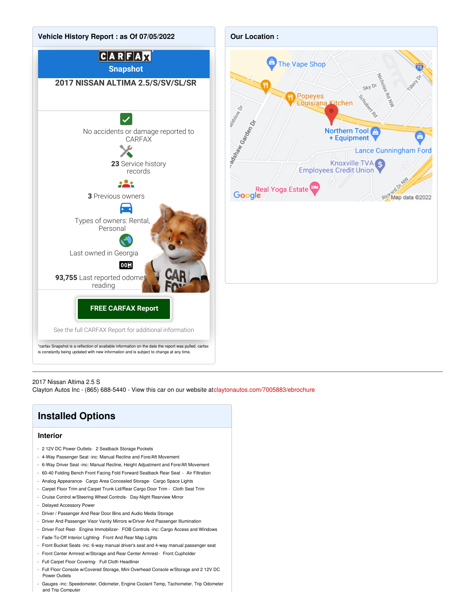

## 2017 Nissan Altima 2.5 S

Clayton Autos Inc - (865) 688-5440 - View this car on our website at[claytonautos.com/7005883/ebrochure](https://claytonautos.com/vehicle/7005883/2017-nissan-altima-2-5-s-knoxville-tn-37912/7005883/ebrochure)

## **Installed Options**

#### **Interior**

- 2 12V DC Power Outlets- 2 Seatback Storage Pockets
- 4-Way Passenger Seat -inc: Manual Recline and Fore/Aft Movement
- 6-Way Driver Seat -inc: Manual Recline, Height Adjustment and Fore/Aft Movement
- 60-40 Folding Bench Front Facing Fold Forward Seatback Rear Seat Air Filtration
- Analog Appearance- Cargo Area Concealed Storage- Cargo Space Lights
- Carpet Floor Trim and Carpet Trunk Lid/Rear Cargo Door Trim Cloth Seat Trim
- Cruise Control w/Steering Wheel Controls- Day-Night Rearview Mirror
- Delayed Accessory Power
- Driver / Passenger And Rear Door Bins and Audio Media Storage
- Driver And Passenger Visor Vanity Mirrors w/Driver And Passenger Illumination
- Driver Foot Rest- Engine Immobilizer- FOB Controls -inc: Cargo Access and Windows
- Fade-To-Off Interior Lighting- Front And Rear Map Lights
- Front Bucket Seats -inc: 6-way manual driver's seat and 4-way manual passenger seat
- Front Center Armrest w/Storage and Rear Center Armrest- Front Cupholder
- Full Carpet Floor Covering- Full Cloth Headliner
- Full Floor Console w/Covered Storage, Mini Overhead Console w/Storage and 2 12V DC Power Outlets
- Gauges -inc: Speedometer, Odometer, Engine Coolant Temp, Tachometer, Trip Odometer and Trip Computer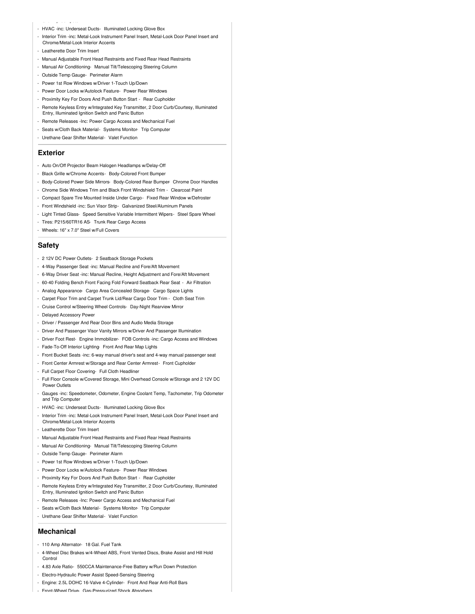- HVAC -inc: Underseat Ducts- Illuminated Locking Glove Box
- Interior Trim -inc: Metal-Look Instrument Panel Insert, Metal-Look Door Panel Insert and Chrome/Metal-Look Interior Accents
- Leatherette Door Trim Insert

and Trip Computer

- Manual Adjustable Front Head Restraints and Fixed Rear Head Restraints
- Manual Air Conditioning- Manual Tilt/Telescoping Steering Column
- Outside Temp Gauge- Perimeter Alarm
- Power 1st Row Windows w/Driver 1-Touch Up/Down
- Power Door Locks w/Autolock Feature- Power Rear Windows
- Proximity Key For Doors And Push Button Start Rear Cupholder
- Remote Keyless Entry w/Integrated Key Transmitter, 2 Door Curb/Courtesy, Illuminated Entry, Illuminated Ignition Switch and Panic Button
- Remote Releases -Inc: Power Cargo Access and Mechanical Fuel
- Seats w/Cloth Back Material- Systems Monitor- Trip Computer
- Urethane Gear Shifter Material- Valet Function

#### **Exterior**

- Auto On/Off Projector Beam Halogen Headlamps w/Delay-Off
- Black Grille w/Chrome Accents- Body-Colored Front Bumper
- Body-Colored Power Side Mirrors- Body-Colored Rear Bumper- Chrome Door Handles
- Chrome Side Windows Trim and Black Front Windshield Trim Clearcoat Paint
- Compact Spare Tire Mounted Inside Under Cargo- Fixed Rear Window w/Defroster
- Front Windshield -inc: Sun Visor Strip- Galvanized Steel/Aluminum Panels
- Light Tinted Glass- Speed Sensitive Variable Intermittent Wipers- Steel Spare Wheel
- Tires: P215/60TR16 AS- Trunk Rear Cargo Access
- Wheels: 16" x 7.0" Steel w/Full Covers

## **Safety**

- 2 12V DC Power Outlets- 2 Seatback Storage Pockets
- 4-Way Passenger Seat -inc: Manual Recline and Fore/Aft Movement
- 6-Way Driver Seat -inc: Manual Recline, Height Adjustment and Fore/Aft Movement
- 60-40 Folding Bench Front Facing Fold Forward Seatback Rear Seat Air Filtration
- Analog Appearance- Cargo Area Concealed Storage- Cargo Space Lights
- Carpet Floor Trim and Carpet Trunk Lid/Rear Cargo Door Trim Cloth Seat Trim
- Cruise Control w/Steering Wheel Controls- Day-Night Rearview Mirror
- Delayed Accessory Power
- Driver / Passenger And Rear Door Bins and Audio Media Storage
- Driver And Passenger Visor Vanity Mirrors w/Driver And Passenger Illumination
- Driver Foot Rest- Engine Immobilizer- FOB Controls -inc: Cargo Access and Windows
- Fade-To-Off Interior Lighting- Front And Rear Map Lights
- Front Bucket Seats -inc: 6-way manual driver's seat and 4-way manual passenger seat
- Front Center Armrest w/Storage and Rear Center Armrest- Front Cupholder
- Full Carpet Floor Covering- Full Cloth Headliner
- Full Floor Console w/Covered Storage, Mini Overhead Console w/Storage and 2 12V DC Power Outlets
- Gauges -inc: Speedometer, Odometer, Engine Coolant Temp, Tachometer, Trip Odometer and Trip Computer
- HVAC -inc: Underseat Ducts- Illuminated Locking Glove Box
- Interior Trim -inc: Metal-Look Instrument Panel Insert, Metal-Look Door Panel Insert and Chrome/Metal-Look Interior Accents
- Leatherette Door Trim Insert
- Manual Adjustable Front Head Restraints and Fixed Rear Head Restraints
- Manual Air Conditioning- Manual Tilt/Telescoping Steering Column
- Outside Temp Gauge- Perimeter Alarm
- Power 1st Row Windows w/Driver 1-Touch Up/Down
- Power Door Locks w/Autolock Feature- Power Rear Windows
- Proximity Key For Doors And Push Button Start Rear Cupholder
- Remote Keyless Entry w/Integrated Key Transmitter, 2 Door Curb/Courtesy, Illuminated Entry, Illuminated Ignition Switch and Panic Button
- Remote Releases -Inc: Power Cargo Access and Mechanical Fuel
- Seats w/Cloth Back Material- Systems Monitor- Trip Computer
- Urethane Gear Shifter Material- Valet Function

### **Mechanical**

- 110 Amp Alternator- 18 Gal. Fuel Tank
- 4-Wheel Disc Brakes w/4-Wheel ABS, Front Vented Discs, Brake Assist and Hill Hold Control
- 4.83 Axle Ratio- 550CCA Maintenance-Free Battery w/Run Down Protection
- Electro-Hydraulic Power Assist Speed-Sensing Steering
- Engine: 2.5L DOHC 16-Valve 4-Cylinder- Front And Rear Anti-Roll Bars
- Front-Wheel Drive- Gas-Pressurized Shock Absorbers